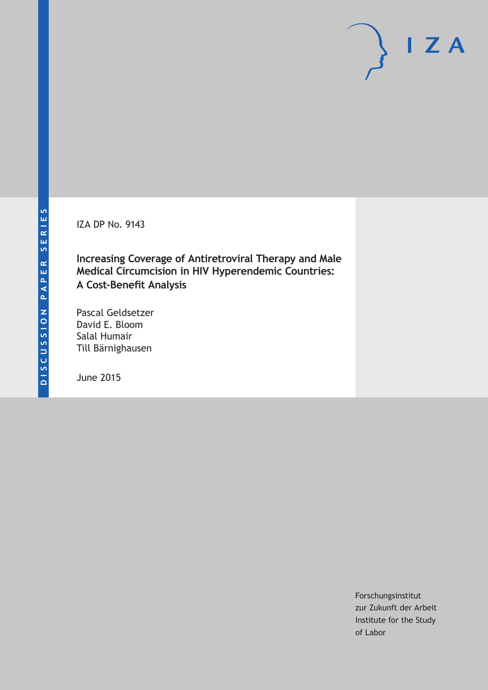IZA DP No. 9143

**Increasing Coverage of Antiretroviral Therapy and Male Medical Circumcision in HIV Hyperendemic Countries: A Cost-Benefit Analysis**

Pascal Geldsetzer David E. Bloom Salal Humair Till Bärnighausen

June 2015

Forschungsinstitut zur Zukunft der Arbeit Institute for the Study of Labor

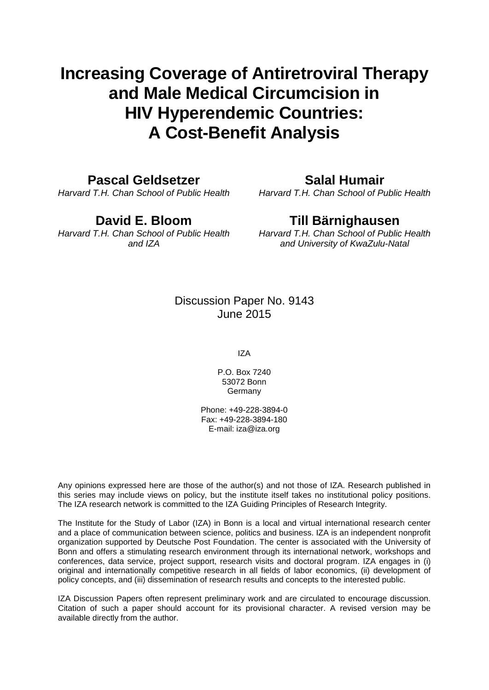# **Increasing Coverage of Antiretroviral Therapy and Male Medical Circumcision in HIV Hyperendemic Countries: A Cost-Benefit Analysis**

# **Pascal Geldsetzer**

*Harvard T.H. Chan School of Public Health*

# **David E. Bloom**

*Harvard T.H. Chan School of Public Health and IZA*

# **Salal Humair**

*Harvard T.H. Chan School of Public Health*

# **Till Bärnighausen**

*Harvard T.H. Chan School of Public Health and University of KwaZulu-Natal*

# Discussion Paper No. 9143 June 2015

IZA

P.O. Box 7240 53072 Bonn Germany

Phone: +49-228-3894-0 Fax: +49-228-3894-180 E-mail: iza@iza.org

Any opinions expressed here are those of the author(s) and not those of IZA. Research published in this series may include views on policy, but the institute itself takes no institutional policy positions. The IZA research network is committed to the IZA Guiding Principles of Research Integrity.

The Institute for the Study of Labor (IZA) in Bonn is a local and virtual international research center and a place of communication between science, politics and business. IZA is an independent nonprofit organization supported by Deutsche Post Foundation. The center is associated with the University of Bonn and offers a stimulating research environment through its international network, workshops and conferences, data service, project support, research visits and doctoral program. IZA engages in (i) original and internationally competitive research in all fields of labor economics, (ii) development of policy concepts, and (iii) dissemination of research results and concepts to the interested public.

IZA Discussion Papers often represent preliminary work and are circulated to encourage discussion. Citation of such a paper should account for its provisional character. A revised version may be available directly from the author.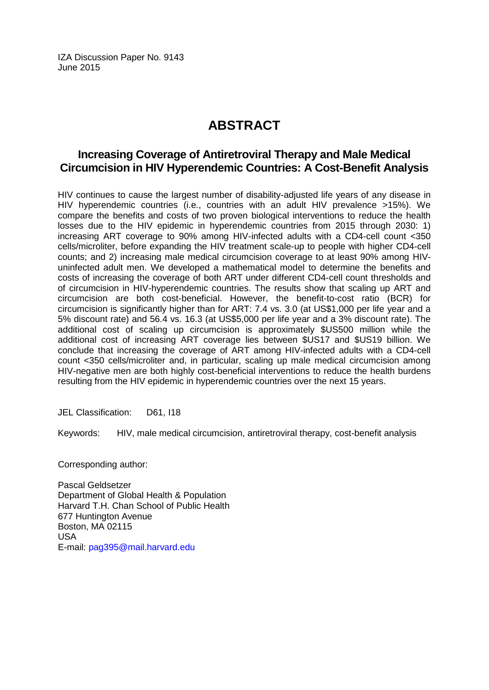IZA Discussion Paper No. 9143 June 2015

# **ABSTRACT**

# **Increasing Coverage of Antiretroviral Therapy and Male Medical Circumcision in HIV Hyperendemic Countries: A Cost-Benefit Analysis**

HIV continues to cause the largest number of disability-adjusted life years of any disease in HIV hyperendemic countries (i.e., countries with an adult HIV prevalence >15%). We compare the benefits and costs of two proven biological interventions to reduce the health losses due to the HIV epidemic in hyperendemic countries from 2015 through 2030: 1) increasing ART coverage to 90% among HIV-infected adults with a CD4-cell count <350 cells/microliter, before expanding the HIV treatment scale-up to people with higher CD4-cell counts; and 2) increasing male medical circumcision coverage to at least 90% among HIVuninfected adult men. We developed a mathematical model to determine the benefits and costs of increasing the coverage of both ART under different CD4-cell count thresholds and of circumcision in HIV-hyperendemic countries. The results show that scaling up ART and circumcision are both cost-beneficial. However, the benefit-to-cost ratio (BCR) for circumcision is significantly higher than for ART: 7.4 vs. 3.0 (at US\$1,000 per life year and a 5% discount rate) and 56.4 vs. 16.3 (at US\$5,000 per life year and a 3% discount rate). The additional cost of scaling up circumcision is approximately \$US500 million while the additional cost of increasing ART coverage lies between \$US17 and \$US19 billion. We conclude that increasing the coverage of ART among HIV-infected adults with a CD4-cell count <350 cells/microliter and, in particular, scaling up male medical circumcision among HIV-negative men are both highly cost-beneficial interventions to reduce the health burdens resulting from the HIV epidemic in hyperendemic countries over the next 15 years.

JEL Classification: D61, I18

Keywords: HIV, male medical circumcision, antiretroviral therapy, cost-benefit analysis

Corresponding author:

Pascal Geldsetzer Department of Global Health & Population Harvard T.H. Chan School of Public Health 677 Huntington Avenue Boston, MA 02115 USA E-mail: [pag395@mail.harvard.edu](mailto:pag395@mail.harvard.edu)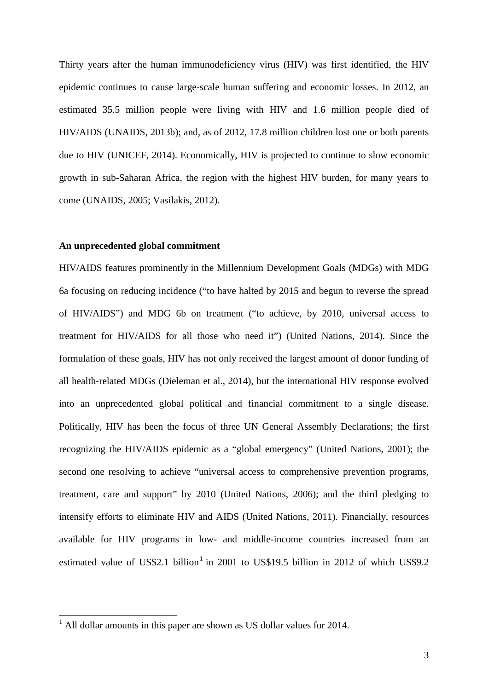Thirty years after the human immunodeficiency virus (HIV) was first identified, the HIV epidemic continues to cause large-scale human suffering and economic losses. In 2012, an estimated 35.5 million people were living with HIV and 1.6 million people died of HIV/AIDS (UNAIDS, 2013b); and, as of 2012, 17.8 million children lost one or both parents due to HIV (UNICEF, 2014). Economically, HIV is projected to continue to slow economic growth in sub-Saharan Africa, the region with the highest HIV burden, for many years to come (UNAIDS, 2005; Vasilakis, 2012).

### **An unprecedented global commitment**

HIV/AIDS features prominently in the Millennium Development Goals (MDGs) with MDG 6a focusing on reducing incidence ("to have halted by 2015 and begun to reverse the spread of HIV/AIDS") and MDG 6b on treatment ("to achieve, by 2010, universal access to treatment for HIV/AIDS for all those who need it") (United Nations, 2014). Since the formulation of these goals, HIV has not only received the largest amount of donor funding of all health-related MDGs (Dieleman et al., 2014), but the international HIV response evolved into an unprecedented global political and financial commitment to a single disease. Politically, HIV has been the focus of three UN General Assembly Declarations; the first recognizing the HIV/AIDS epidemic as a "global emergency" (United Nations, 2001); the second one resolving to achieve "universal access to comprehensive prevention programs, treatment, care and support" by 2010 (United Nations, 2006); and the third pledging to intensify efforts to eliminate HIV and AIDS (United Nations, 2011). Financially, resources available for HIV programs in low- and middle-income countries increased from an estimated value of US\$2.1 billion<sup>1</sup> in 2001 to US\$19.5 billion in 2012 of which US\$9.2

<span id="page-3-0"></span> $<sup>1</sup>$  All dollar amounts in this paper are shown as US dollar values for 2014.</sup>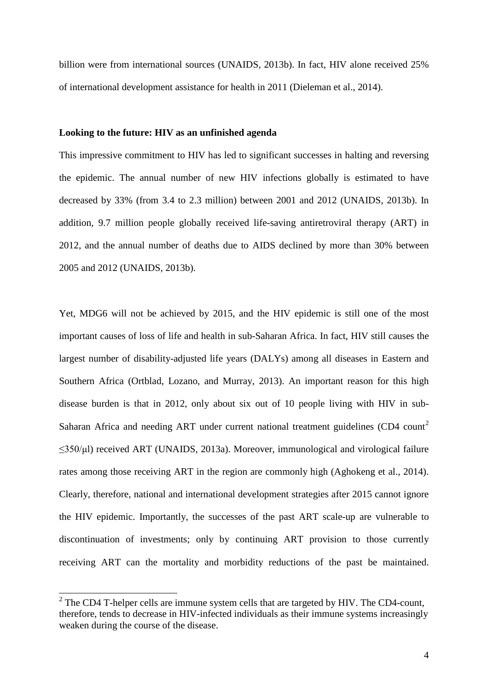billion were from international sources (UNAIDS, 2013b). In fact, HIV alone received 25% of international development assistance for health in 2011 (Dieleman et al., 2014).

# **Looking to the future: HIV as an unfinished agenda**

This impressive commitment to HIV has led to significant successes in halting and reversing the epidemic. The annual number of new HIV infections globally is estimated to have decreased by 33% (from 3.4 to 2.3 million) between 2001 and 2012 (UNAIDS, 2013b). In addition, 9.7 million people globally received life-saving antiretroviral therapy (ART) in 2012, and the annual number of deaths due to AIDS declined by more than 30% between 2005 and 2012 (UNAIDS, 2013b).

Yet, MDG6 will not be achieved by 2015, and the HIV epidemic is still one of the most important causes of loss of life and health in sub-Saharan Africa. In fact, HIV still causes the largest number of disability-adjusted life years (DALYs) among all diseases in Eastern and Southern Africa (Ortblad, Lozano, and Murray, 2013). An important reason for this high disease burden is that in 2012, only about six out of 10 people living with HIV in sub-Saharan Africa and needing ART under current national treatment guidelines (CD4 count<sup>[2](#page-3-0)</sup> ≤350/μl) received ART (UNAIDS, 2013a). Moreover, immunological and virological failure rates among those receiving ART in the region are commonly high (Aghokeng et al., 2014). Clearly, therefore, national and international development strategies after 2015 cannot ignore the HIV epidemic. Importantly, the successes of the past ART scale-up are vulnerable to discontinuation of investments; only by continuing ART provision to those currently receiving ART can the mortality and morbidity reductions of the past be maintained.

 $2$  The CD4 T-helper cells are immune system cells that are targeted by HIV. The CD4-count, therefore, tends to decrease in HIV-infected individuals as their immune systems increasingly weaken during the course of the disease.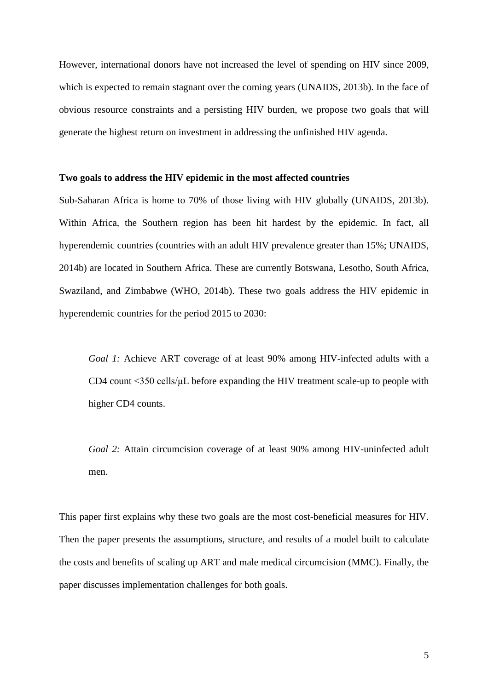However, international donors have not increased the level of spending on HIV since 2009, which is expected to remain stagnant over the coming years (UNAIDS, 2013b). In the face of obvious resource constraints and a persisting HIV burden, we propose two goals that will generate the highest return on investment in addressing the unfinished HIV agenda.

### **Two goals to address the HIV epidemic in the most affected countries**

Sub-Saharan Africa is home to 70% of those living with HIV globally (UNAIDS, 2013b). Within Africa, the Southern region has been hit hardest by the epidemic. In fact, all hyperendemic countries (countries with an adult HIV prevalence greater than 15%; UNAIDS, 2014b) are located in Southern Africa. These are currently Botswana, Lesotho, South Africa, Swaziland, and Zimbabwe (WHO, 2014b). These two goals address the HIV epidemic in hyperendemic countries for the period 2015 to 2030:

*Goal 1:* Achieve ART coverage of at least 90% among HIV-infected adults with a CD4 count <350 cells/μL before expanding the HIV treatment scale-up to people with higher CD4 counts.

*Goal 2:* Attain circumcision coverage of at least 90% among HIV-uninfected adult men.

This paper first explains why these two goals are the most cost-beneficial measures for HIV. Then the paper presents the assumptions, structure, and results of a model built to calculate the costs and benefits of scaling up ART and male medical circumcision (MMC). Finally, the paper discusses implementation challenges for both goals.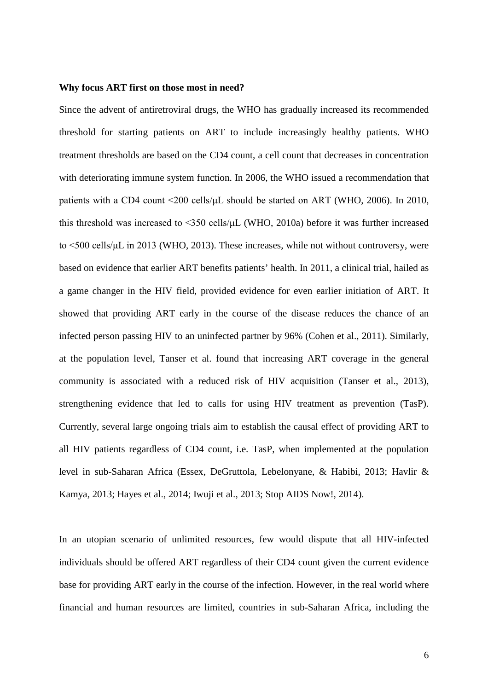#### **Why focus ART first on those most in need?**

Since the advent of antiretroviral drugs, the WHO has gradually increased its recommended threshold for starting patients on ART to include increasingly healthy patients. WHO treatment thresholds are based on the CD4 count, a cell count that decreases in concentration with deteriorating immune system function. In 2006, the WHO issued a recommendation that patients with a CD4 count <200 cells/μL should be started on ART (WHO, 2006). In 2010, this threshold was increased to <350 cells/μL (WHO, 2010a) before it was further increased to <500 cells/μL in 2013 (WHO, 2013). These increases, while not without controversy, were based on evidence that earlier ART benefits patients' health. In 2011, a clinical trial, hailed as a game changer in the HIV field, provided evidence for even earlier initiation of ART. It showed that providing ART early in the course of the disease reduces the chance of an infected person passing HIV to an uninfected partner by 96% (Cohen et al., 2011). Similarly, at the population level, Tanser et al. found that increasing ART coverage in the general community is associated with a reduced risk of HIV acquisition (Tanser et al., 2013), strengthening evidence that led to calls for using HIV treatment as prevention (TasP). Currently, several large ongoing trials aim to establish the causal effect of providing ART to all HIV patients regardless of CD4 count, i.e. TasP, when implemented at the population level in sub-Saharan Africa (Essex, DeGruttola, Lebelonyane, & Habibi, 2013; Havlir & Kamya, 2013; Hayes et al., 2014; Iwuji et al., 2013; Stop AIDS Now!, 2014).

In an utopian scenario of unlimited resources, few would dispute that all HIV-infected individuals should be offered ART regardless of their CD4 count given the current evidence base for providing ART early in the course of the infection. However, in the real world where financial and human resources are limited, countries in sub-Saharan Africa, including the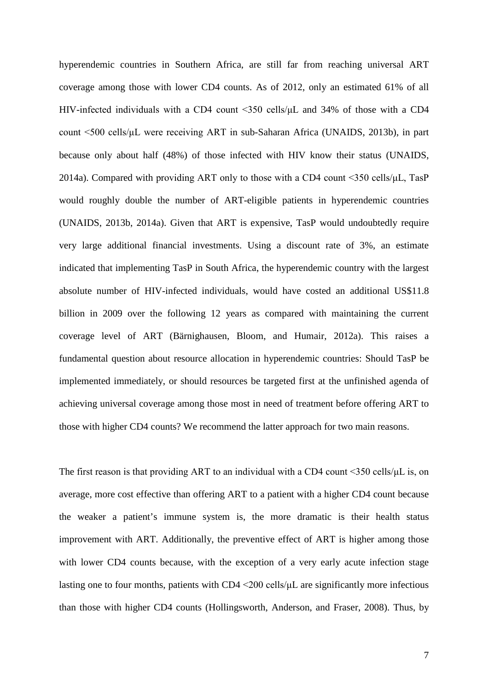hyperendemic countries in Southern Africa, are still far from reaching universal ART coverage among those with lower CD4 counts. As of 2012, only an estimated 61% of all HIV-infected individuals with a CD4 count <350 cells/μL and 34% of those with a CD4 count <500 cells/μL were receiving ART in sub-Saharan Africa (UNAIDS, 2013b), in part because only about half (48%) of those infected with HIV know their status (UNAIDS, 2014a). Compared with providing ART only to those with a CD4 count <350 cells/μL, TasP would roughly double the number of ART-eligible patients in hyperendemic countries (UNAIDS, 2013b, 2014a). Given that ART is expensive, TasP would undoubtedly require very large additional financial investments. Using a discount rate of 3%, an estimate indicated that implementing TasP in South Africa, the hyperendemic country with the largest absolute number of HIV-infected individuals, would have costed an additional US\$11.8 billion in 2009 over the following 12 years as compared with maintaining the current coverage level of ART (Bärnighausen, Bloom, and Humair, 2012a). This raises a fundamental question about resource allocation in hyperendemic countries: Should TasP be implemented immediately, or should resources be targeted first at the unfinished agenda of achieving universal coverage among those most in need of treatment before offering ART to those with higher CD4 counts? We recommend the latter approach for two main reasons.

The first reason is that providing ART to an individual with a CD4 count <350 cells/μL is, on average, more cost effective than offering ART to a patient with a higher CD4 count because the weaker a patient's immune system is, the more dramatic is their health status improvement with ART. Additionally, the preventive effect of ART is higher among those with lower CD4 counts because, with the exception of a very early acute infection stage lasting one to four months, patients with  $CD4 \leq 200$  cells/ $\mu$ L are significantly more infectious than those with higher CD4 counts (Hollingsworth, Anderson, and Fraser, 2008). Thus, by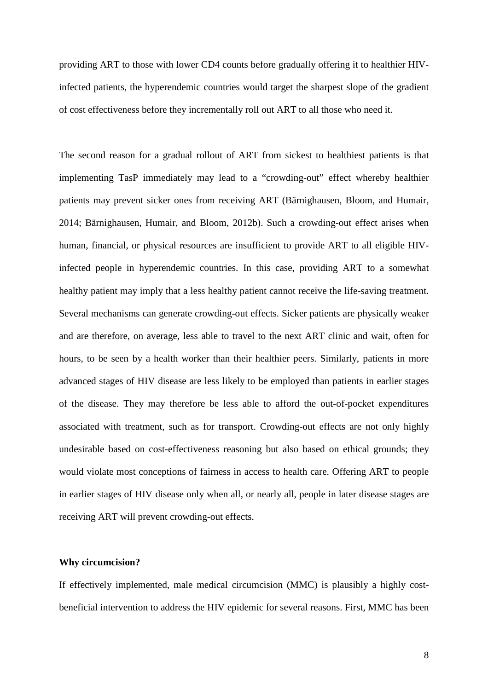providing ART to those with lower CD4 counts before gradually offering it to healthier HIVinfected patients, the hyperendemic countries would target the sharpest slope of the gradient of cost effectiveness before they incrementally roll out ART to all those who need it.

The second reason for a gradual rollout of ART from sickest to healthiest patients is that implementing TasP immediately may lead to a "crowding-out" effect whereby healthier patients may prevent sicker ones from receiving ART (Bärnighausen, Bloom, and Humair, 2014; Bärnighausen, Humair, and Bloom, 2012b). Such a crowding-out effect arises when human, financial, or physical resources are insufficient to provide ART to all eligible HIVinfected people in hyperendemic countries. In this case, providing ART to a somewhat healthy patient may imply that a less healthy patient cannot receive the life-saving treatment. Several mechanisms can generate crowding-out effects. Sicker patients are physically weaker and are therefore, on average, less able to travel to the next ART clinic and wait, often for hours, to be seen by a health worker than their healthier peers. Similarly, patients in more advanced stages of HIV disease are less likely to be employed than patients in earlier stages of the disease. They may therefore be less able to afford the out-of-pocket expenditures associated with treatment, such as for transport. Crowding-out effects are not only highly undesirable based on cost-effectiveness reasoning but also based on ethical grounds; they would violate most conceptions of fairness in access to health care. Offering ART to people in earlier stages of HIV disease only when all, or nearly all, people in later disease stages are receiving ART will prevent crowding-out effects.

# **Why circumcision?**

If effectively implemented, male medical circumcision (MMC) is plausibly a highly costbeneficial intervention to address the HIV epidemic for several reasons. First, MMC has been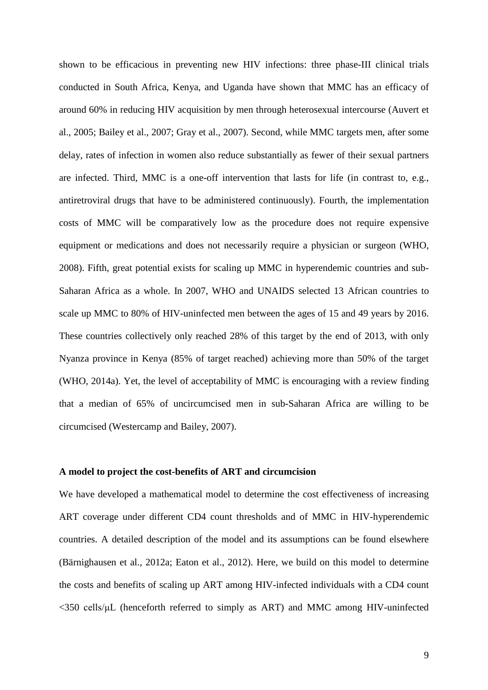shown to be efficacious in preventing new HIV infections: three phase-III clinical trials conducted in South Africa, Kenya, and Uganda have shown that MMC has an efficacy of around 60% in reducing HIV acquisition by men through heterosexual intercourse (Auvert et al., 2005; Bailey et al., 2007; Gray et al., 2007). Second, while MMC targets men, after some delay, rates of infection in women also reduce substantially as fewer of their sexual partners are infected. Third, MMC is a one-off intervention that lasts for life (in contrast to, e.g., antiretroviral drugs that have to be administered continuously). Fourth, the implementation costs of MMC will be comparatively low as the procedure does not require expensive equipment or medications and does not necessarily require a physician or surgeon (WHO, 2008). Fifth, great potential exists for scaling up MMC in hyperendemic countries and sub-Saharan Africa as a whole. In 2007, WHO and UNAIDS selected 13 African countries to scale up MMC to 80% of HIV-uninfected men between the ages of 15 and 49 years by 2016. These countries collectively only reached 28% of this target by the end of 2013, with only Nyanza province in Kenya (85% of target reached) achieving more than 50% of the target (WHO, 2014a). Yet, the level of acceptability of MMC is encouraging with a review finding that a median of 65% of uncircumcised men in sub-Saharan Africa are willing to be circumcised (Westercamp and Bailey, 2007).

### **A model to project the cost-benefits of ART and circumcision**

We have developed a mathematical model to determine the cost effectiveness of increasing ART coverage under different CD4 count thresholds and of MMC in HIV-hyperendemic countries. A detailed description of the model and its assumptions can be found elsewhere (Bärnighausen et al., 2012a; Eaton et al., 2012). Here, we build on this model to determine the costs and benefits of scaling up ART among HIV-infected individuals with a CD4 count <350 cells/μL (henceforth referred to simply as ART) and MMC among HIV-uninfected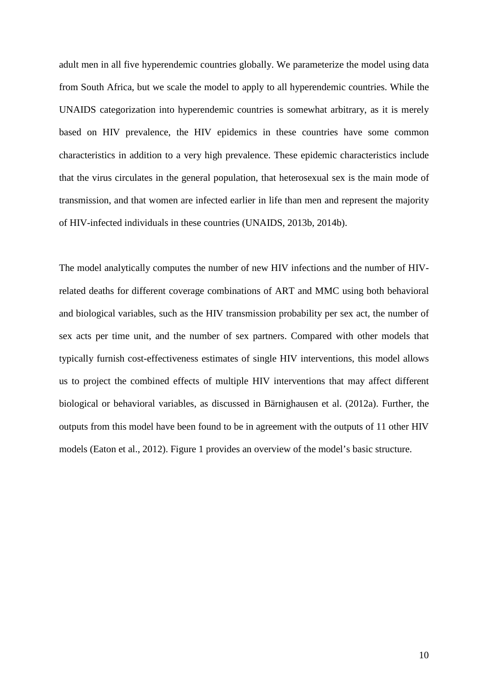adult men in all five hyperendemic countries globally. We parameterize the model using data from South Africa, but we scale the model to apply to all hyperendemic countries. While the UNAIDS categorization into hyperendemic countries is somewhat arbitrary, as it is merely based on HIV prevalence, the HIV epidemics in these countries have some common characteristics in addition to a very high prevalence. These epidemic characteristics include that the virus circulates in the general population, that heterosexual sex is the main mode of transmission, and that women are infected earlier in life than men and represent the majority of HIV-infected individuals in these countries (UNAIDS, 2013b, 2014b).

The model analytically computes the number of new HIV infections and the number of HIVrelated deaths for different coverage combinations of ART and MMC using both behavioral and biological variables, such as the HIV transmission probability per sex act, the number of sex acts per time unit, and the number of sex partners. Compared with other models that typically furnish cost-effectiveness estimates of single HIV interventions, this model allows us to project the combined effects of multiple HIV interventions that may affect different biological or behavioral variables, as discussed in Bärnighausen et al. (2012a). Further, the outputs from this model have been found to be in agreement with the outputs of 11 other HIV models (Eaton et al., 2012). Figure 1 provides an overview of the model's basic structure.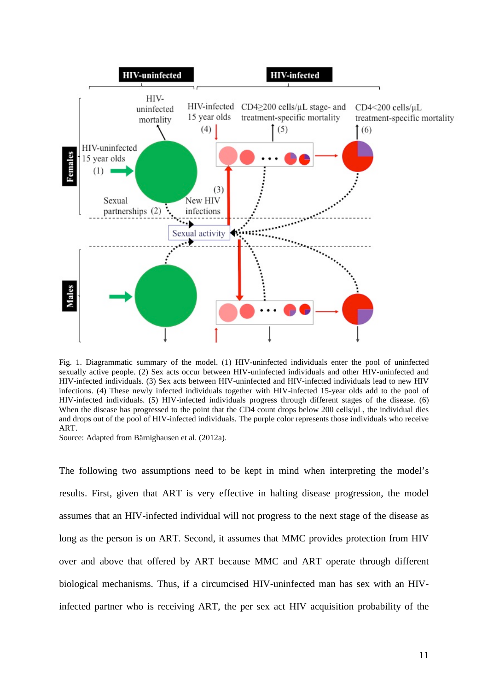

Fig. 1. Diagrammatic summary of the model. (1) HIV-uninfected individuals enter the pool of uninfected sexually active people. (2) Sex acts occur between HIV-uninfected individuals and other HIV-uninfected and HIV-infected individuals. (3) Sex acts between HIV-uninfected and HIV-infected individuals lead to new HIV infections. (4) These newly infected individuals together with HIV-infected 15-year olds add to the pool of HIV-infected individuals. (5) HIV-infected individuals progress through different stages of the disease. (6) When the disease has progressed to the point that the CD4 count drops below 200 cells/μL, the individual dies and drops out of the pool of HIV-infected individuals. The purple color represents those individuals who receive ART.

Source: Adapted from Bärnighausen et al. (2012a).

The following two assumptions need to be kept in mind when interpreting the model's results. First, given that ART is very effective in halting disease progression, the model assumes that an HIV-infected individual will not progress to the next stage of the disease as long as the person is on ART. Second, it assumes that MMC provides protection from HIV over and above that offered by ART because MMC and ART operate through different biological mechanisms. Thus, if a circumcised HIV-uninfected man has sex with an HIVinfected partner who is receiving ART, the per sex act HIV acquisition probability of the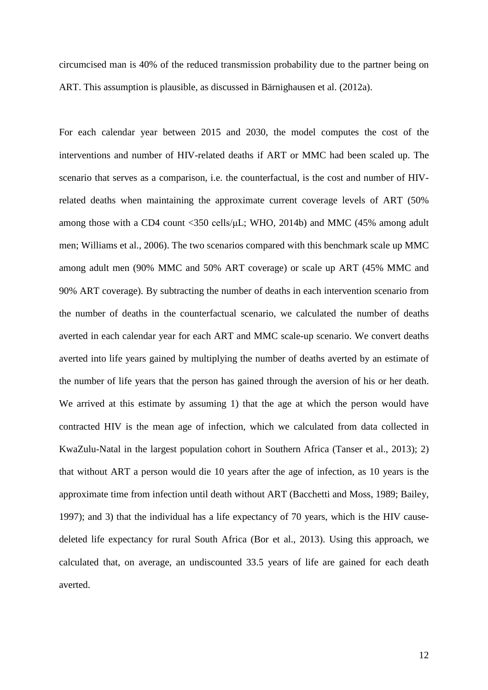circumcised man is 40% of the reduced transmission probability due to the partner being on ART. This assumption is plausible, as discussed in Bärnighausen et al. (2012a).

For each calendar year between 2015 and 2030, the model computes the cost of the interventions and number of HIV-related deaths if ART or MMC had been scaled up. The scenario that serves as a comparison, i.e. the counterfactual, is the cost and number of HIVrelated deaths when maintaining the approximate current coverage levels of ART (50% among those with a CD4 count <350 cells/μL; WHO, 2014b) and MMC (45% among adult men; Williams et al., 2006). The two scenarios compared with this benchmark scale up MMC among adult men (90% MMC and 50% ART coverage) or scale up ART (45% MMC and 90% ART coverage). By subtracting the number of deaths in each intervention scenario from the number of deaths in the counterfactual scenario, we calculated the number of deaths averted in each calendar year for each ART and MMC scale-up scenario. We convert deaths averted into life years gained by multiplying the number of deaths averted by an estimate of the number of life years that the person has gained through the aversion of his or her death. We arrived at this estimate by assuming 1) that the age at which the person would have contracted HIV is the mean age of infection, which we calculated from data collected in KwaZulu-Natal in the largest population cohort in Southern Africa (Tanser et al., 2013); 2) that without ART a person would die 10 years after the age of infection, as 10 years is the approximate time from infection until death without ART (Bacchetti and Moss, 1989; Bailey, 1997); and 3) that the individual has a life expectancy of 70 years, which is the HIV causedeleted life expectancy for rural South Africa (Bor et al., 2013). Using this approach, we calculated that, on average, an undiscounted 33.5 years of life are gained for each death averted.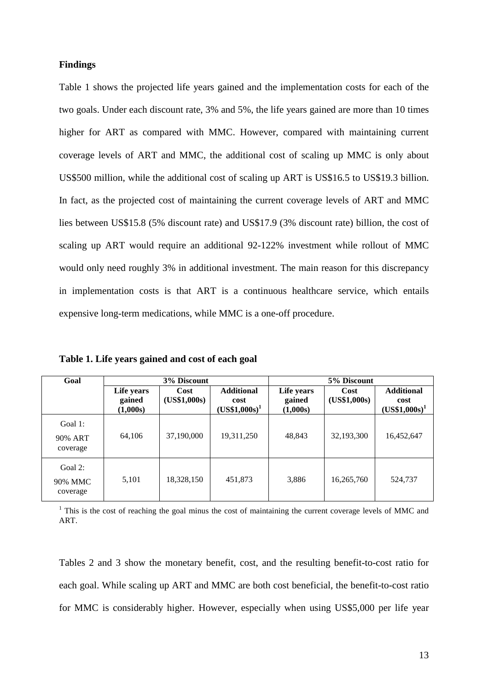## **Findings**

Table 1 shows the projected life years gained and the implementation costs for each of the two goals. Under each discount rate, 3% and 5%, the life years gained are more than 10 times higher for ART as compared with MMC. However, compared with maintaining current coverage levels of ART and MMC, the additional cost of scaling up MMC is only about US\$500 million, while the additional cost of scaling up ART is US\$16.5 to US\$19.3 billion. In fact, as the projected cost of maintaining the current coverage levels of ART and MMC lies between US\$15.8 (5% discount rate) and US\$17.9 (3% discount rate) billion, the cost of scaling up ART would require an additional 92-122% investment while rollout of MMC would only need roughly 3% in additional investment. The main reason for this discrepancy in implementation costs is that ART is a continuous healthcare service, which entails expensive long-term medications, while MMC is a one-off procedure.

| Goal                              | 3% Discount                      |                      |                                              | 5% Discount                      |                      |                                              |
|-----------------------------------|----------------------------------|----------------------|----------------------------------------------|----------------------------------|----------------------|----------------------------------------------|
|                                   | Life years<br>gained<br>(1,000s) | Cost<br>(US\$1,000s) | <b>Additional</b><br>cost<br>$(USS1,000s)^1$ | Life years<br>gained<br>(1,000s) | Cost<br>(US\$1,000s) | <b>Additional</b><br>cost<br>$(US$1,000s)^1$ |
| Goal 1:<br>90% ART<br>coverage    | 64,106                           | 37,190,000           | 19,311,250                                   | 48,843                           | 32,193,300           | 16,452,647                                   |
| Goal $2$ :<br>90% MMC<br>coverage | 5,101                            | 18,328,150           | 451,873                                      | 3,886                            | 16,265,760           | 524,737                                      |

**Table 1. Life years gained and cost of each goal**

<sup>1</sup> This is the cost of reaching the goal minus the cost of maintaining the current coverage levels of MMC and ART.

Tables 2 and 3 show the monetary benefit, cost, and the resulting benefit-to-cost ratio for each goal. While scaling up ART and MMC are both cost beneficial, the benefit-to-cost ratio for MMC is considerably higher. However, especially when using US\$5,000 per life year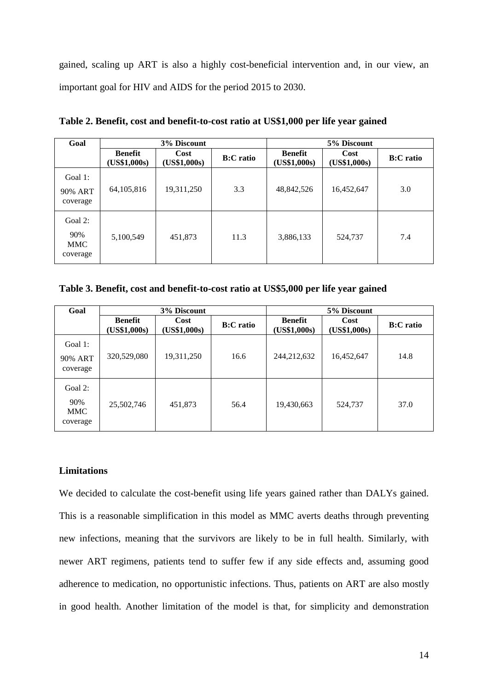gained, scaling up ART is also a highly cost-beneficial intervention and, in our view, an important goal for HIV and AIDS for the period 2015 to 2030.

| Goal                                     | 3% Discount                    |                      |                  | 5% Discount                    |                      |                  |
|------------------------------------------|--------------------------------|----------------------|------------------|--------------------------------|----------------------|------------------|
|                                          | <b>Benefit</b><br>(US\$1,000s) | Cost<br>(US\$1,000s) | <b>B:C</b> ratio | <b>Benefit</b><br>(US\$1,000s) | Cost<br>(US\$1,000s) | <b>B:C</b> ratio |
| Goal 1:<br>90% ART<br>coverage           | 64, 105, 816                   | 19,311,250           | 3.3              | 48,842,526                     | 16,452,647           | 3.0              |
| Goal 2:<br>90%<br><b>MMC</b><br>coverage | 5,100,549                      | 451,873              | 11.3             | 3,886,133                      | 524,737              | 7.4              |

**Table 2. Benefit, cost and benefit-to-cost ratio at US\$1,000 per life year gained**

**Table 3. Benefit, cost and benefit-to-cost ratio at US\$5,000 per life year gained**

| Goal                                        | 3% Discount                    |                      |                  | 5% Discount                    |                      |                  |
|---------------------------------------------|--------------------------------|----------------------|------------------|--------------------------------|----------------------|------------------|
|                                             | <b>Benefit</b><br>(US\$1,000s) | Cost<br>(US\$1,000s) | <b>B:C</b> ratio | <b>Benefit</b><br>(US\$1,000s) | Cost<br>(US\$1,000s) | <b>B:C</b> ratio |
| Goal 1:<br>90% ART<br>coverage              | 320,529,080                    | 19,311,250           | 16.6             | 244,212,632                    | 16,452,647           | 14.8             |
| Goal $2$ :<br>90%<br><b>MMC</b><br>coverage | 25,502,746                     | 451,873              | 56.4             | 19,430,663                     | 524,737              | 37.0             |

# **Limitations**

We decided to calculate the cost-benefit using life years gained rather than DALYs gained. This is a reasonable simplification in this model as MMC averts deaths through preventing new infections, meaning that the survivors are likely to be in full health. Similarly, with newer ART regimens, patients tend to suffer few if any side effects and, assuming good adherence to medication, no opportunistic infections. Thus, patients on ART are also mostly in good health. Another limitation of the model is that, for simplicity and demonstration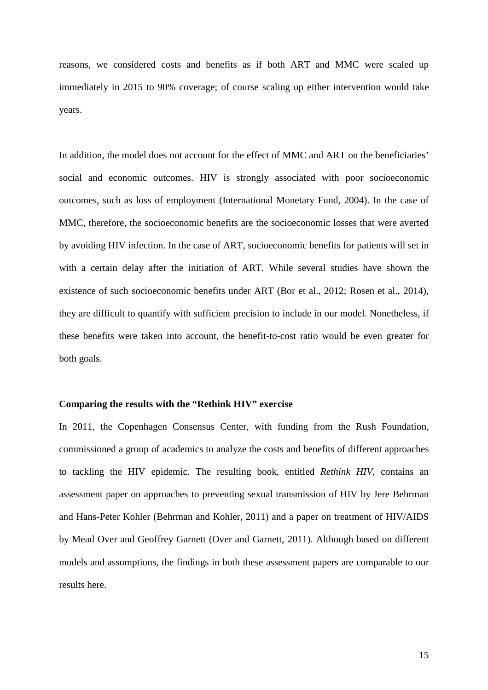reasons, we considered costs and benefits as if both ART and MMC were scaled up immediately in 2015 to 90% coverage; of course scaling up either intervention would take years.

In addition, the model does not account for the effect of MMC and ART on the beneficiaries' social and economic outcomes. HIV is strongly associated with poor socioeconomic outcomes, such as loss of employment (International Monetary Fund, 2004). In the case of MMC, therefore, the socioeconomic benefits are the socioeconomic losses that were averted by avoiding HIV infection. In the case of ART, socioeconomic benefits for patients will set in with a certain delay after the initiation of ART. While several studies have shown the existence of such socioeconomic benefits under ART (Bor et al., 2012; Rosen et al., 2014), they are difficult to quantify with sufficient precision to include in our model. Nonetheless, if these benefits were taken into account, the benefit-to-cost ratio would be even greater for both goals.

### **Comparing the results with the "Rethink HIV" exercise**

In 2011, the Copenhagen Consensus Center, with funding from the Rush Foundation, commissioned a group of academics to analyze the costs and benefits of different approaches to tackling the HIV epidemic. The resulting book, entitled *Rethink HIV,* contains an assessment paper on approaches to preventing sexual transmission of HIV by Jere Behrman and Hans-Peter Kohler (Behrman and Kohler, 2011) and a paper on treatment of HIV/AIDS by Mead Over and Geoffrey Garnett (Over and Garnett, 2011). Although based on different models and assumptions, the findings in both these assessment papers are comparable to our results here.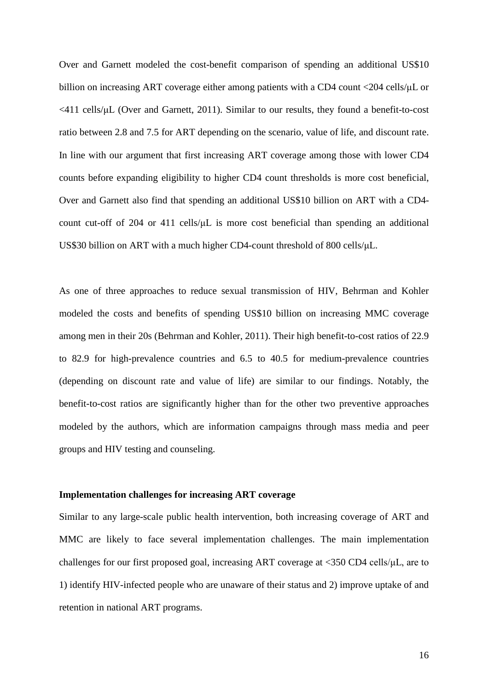Over and Garnett modeled the cost-benefit comparison of spending an additional US\$10 billion on increasing ART coverage either among patients with a CD4 count <204 cells/μL or <411 cells/μL (Over and Garnett, 2011). Similar to our results, they found a benefit-to-cost ratio between 2.8 and 7.5 for ART depending on the scenario, value of life, and discount rate. In line with our argument that first increasing ART coverage among those with lower CD4 counts before expanding eligibility to higher CD4 count thresholds is more cost beneficial, Over and Garnett also find that spending an additional US\$10 billion on ART with a CD4 count cut-off of 204 or 411 cells/μL is more cost beneficial than spending an additional US\$30 billion on ART with a much higher CD4-count threshold of 800 cells/μL.

As one of three approaches to reduce sexual transmission of HIV, Behrman and Kohler modeled the costs and benefits of spending US\$10 billion on increasing MMC coverage among men in their 20s (Behrman and Kohler, 2011). Their high benefit-to-cost ratios of 22.9 to 82.9 for high-prevalence countries and 6.5 to 40.5 for medium-prevalence countries (depending on discount rate and value of life) are similar to our findings. Notably, the benefit-to-cost ratios are significantly higher than for the other two preventive approaches modeled by the authors, which are information campaigns through mass media and peer groups and HIV testing and counseling.

### **Implementation challenges for increasing ART coverage**

Similar to any large-scale public health intervention, both increasing coverage of ART and MMC are likely to face several implementation challenges. The main implementation challenges for our first proposed goal, increasing ART coverage at <350 CD4 cells/μL, are to 1) identify HIV-infected people who are unaware of their status and 2) improve uptake of and retention in national ART programs.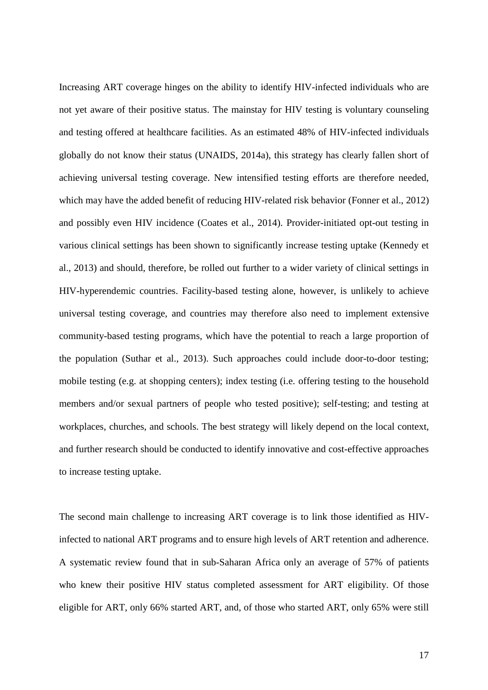Increasing ART coverage hinges on the ability to identify HIV-infected individuals who are not yet aware of their positive status. The mainstay for HIV testing is voluntary counseling and testing offered at healthcare facilities. As an estimated 48% of HIV-infected individuals globally do not know their status (UNAIDS, 2014a), this strategy has clearly fallen short of achieving universal testing coverage. New intensified testing efforts are therefore needed, which may have the added benefit of reducing HIV-related risk behavior (Fonner et al., 2012) and possibly even HIV incidence (Coates et al., 2014). Provider-initiated opt-out testing in various clinical settings has been shown to significantly increase testing uptake (Kennedy et al., 2013) and should, therefore, be rolled out further to a wider variety of clinical settings in HIV-hyperendemic countries. Facility-based testing alone, however, is unlikely to achieve universal testing coverage, and countries may therefore also need to implement extensive community-based testing programs, which have the potential to reach a large proportion of the population (Suthar et al., 2013). Such approaches could include door-to-door testing; mobile testing (e.g. at shopping centers); index testing (i.e. offering testing to the household members and/or sexual partners of people who tested positive); self-testing; and testing at workplaces, churches, and schools. The best strategy will likely depend on the local context, and further research should be conducted to identify innovative and cost-effective approaches to increase testing uptake.

The second main challenge to increasing ART coverage is to link those identified as HIVinfected to national ART programs and to ensure high levels of ART retention and adherence. A systematic review found that in sub-Saharan Africa only an average of 57% of patients who knew their positive HIV status completed assessment for ART eligibility. Of those eligible for ART, only 66% started ART, and, of those who started ART, only 65% were still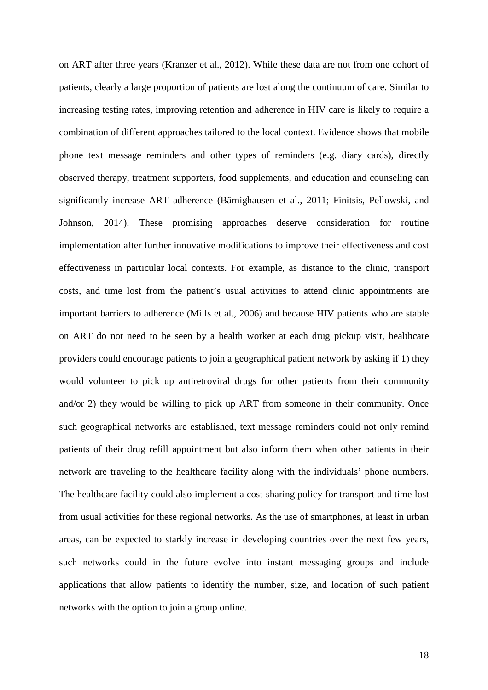on ART after three years (Kranzer et al., 2012). While these data are not from one cohort of patients, clearly a large proportion of patients are lost along the continuum of care. Similar to increasing testing rates, improving retention and adherence in HIV care is likely to require a combination of different approaches tailored to the local context. Evidence shows that mobile phone text message reminders and other types of reminders (e.g. diary cards), directly observed therapy, treatment supporters, food supplements, and education and counseling can significantly increase ART adherence (Bärnighausen et al., 2011; Finitsis, Pellowski, and Johnson, 2014). These promising approaches deserve consideration for routine implementation after further innovative modifications to improve their effectiveness and cost effectiveness in particular local contexts. For example, as distance to the clinic, transport costs, and time lost from the patient's usual activities to attend clinic appointments are important barriers to adherence (Mills et al., 2006) and because HIV patients who are stable on ART do not need to be seen by a health worker at each drug pickup visit, healthcare providers could encourage patients to join a geographical patient network by asking if 1) they would volunteer to pick up antiretroviral drugs for other patients from their community and/or 2) they would be willing to pick up ART from someone in their community. Once such geographical networks are established, text message reminders could not only remind patients of their drug refill appointment but also inform them when other patients in their network are traveling to the healthcare facility along with the individuals' phone numbers. The healthcare facility could also implement a cost-sharing policy for transport and time lost from usual activities for these regional networks. As the use of smartphones, at least in urban areas, can be expected to starkly increase in developing countries over the next few years, such networks could in the future evolve into instant messaging groups and include applications that allow patients to identify the number, size, and location of such patient networks with the option to join a group online.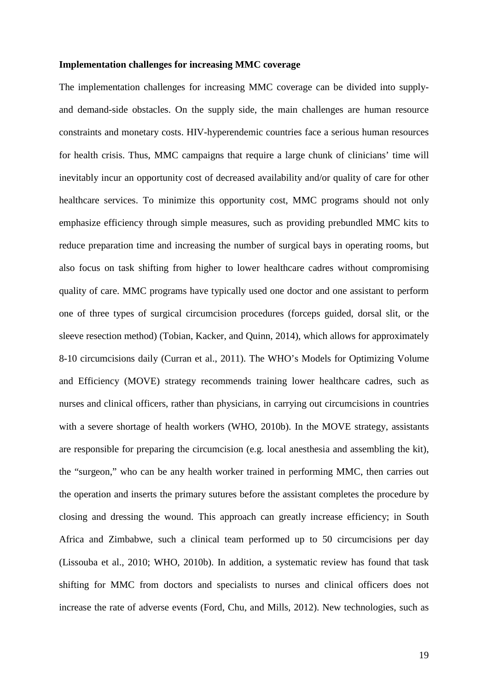### **Implementation challenges for increasing MMC coverage**

The implementation challenges for increasing MMC coverage can be divided into supplyand demand-side obstacles. On the supply side, the main challenges are human resource constraints and monetary costs. HIV-hyperendemic countries face a serious human resources for health crisis. Thus, MMC campaigns that require a large chunk of clinicians' time will inevitably incur an opportunity cost of decreased availability and/or quality of care for other healthcare services. To minimize this opportunity cost, MMC programs should not only emphasize efficiency through simple measures, such as providing prebundled MMC kits to reduce preparation time and increasing the number of surgical bays in operating rooms, but also focus on task shifting from higher to lower healthcare cadres without compromising quality of care. MMC programs have typically used one doctor and one assistant to perform one of three types of surgical circumcision procedures (forceps guided, dorsal slit, or the sleeve resection method) (Tobian, Kacker, and Quinn, 2014), which allows for approximately 8-10 circumcisions daily (Curran et al., 2011). The WHO's Models for Optimizing Volume and Efficiency (MOVE) strategy recommends training lower healthcare cadres, such as nurses and clinical officers, rather than physicians, in carrying out circumcisions in countries with a severe shortage of health workers (WHO, 2010b). In the MOVE strategy, assistants are responsible for preparing the circumcision (e.g. local anesthesia and assembling the kit), the "surgeon," who can be any health worker trained in performing MMC, then carries out the operation and inserts the primary sutures before the assistant completes the procedure by closing and dressing the wound. This approach can greatly increase efficiency; in South Africa and Zimbabwe, such a clinical team performed up to 50 circumcisions per day (Lissouba et al., 2010; WHO, 2010b). In addition, a systematic review has found that task shifting for MMC from doctors and specialists to nurses and clinical officers does not increase the rate of adverse events (Ford, Chu, and Mills, 2012). New technologies, such as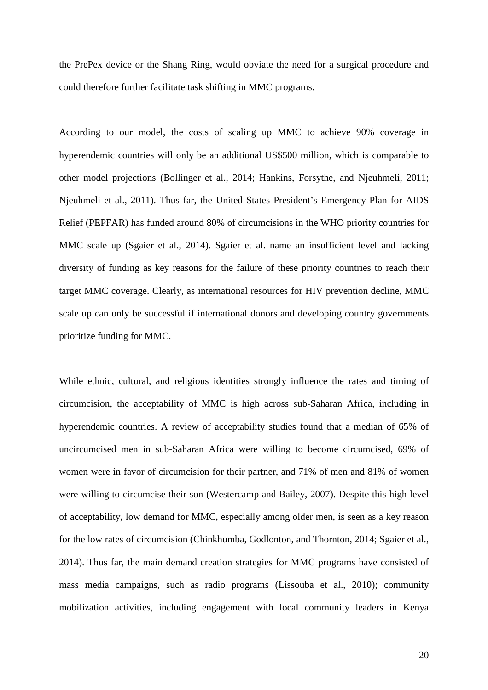the PrePex device or the Shang Ring, would obviate the need for a surgical procedure and could therefore further facilitate task shifting in MMC programs.

According to our model, the costs of scaling up MMC to achieve 90% coverage in hyperendemic countries will only be an additional US\$500 million, which is comparable to other model projections (Bollinger et al., 2014; Hankins, Forsythe, and Njeuhmeli, 2011; Njeuhmeli et al., 2011). Thus far, the United States President's Emergency Plan for AIDS Relief (PEPFAR) has funded around 80% of circumcisions in the WHO priority countries for MMC scale up (Sgaier et al., 2014). Sgaier et al. name an insufficient level and lacking diversity of funding as key reasons for the failure of these priority countries to reach their target MMC coverage. Clearly, as international resources for HIV prevention decline, MMC scale up can only be successful if international donors and developing country governments prioritize funding for MMC.

While ethnic, cultural, and religious identities strongly influence the rates and timing of circumcision, the acceptability of MMC is high across sub-Saharan Africa, including in hyperendemic countries. A review of acceptability studies found that a median of 65% of uncircumcised men in sub-Saharan Africa were willing to become circumcised, 69% of women were in favor of circumcision for their partner, and 71% of men and 81% of women were willing to circumcise their son (Westercamp and Bailey, 2007). Despite this high level of acceptability, low demand for MMC, especially among older men, is seen as a key reason for the low rates of circumcision (Chinkhumba, Godlonton, and Thornton, 2014; Sgaier et al., 2014). Thus far, the main demand creation strategies for MMC programs have consisted of mass media campaigns, such as radio programs (Lissouba et al., 2010); community mobilization activities, including engagement with local community leaders in Kenya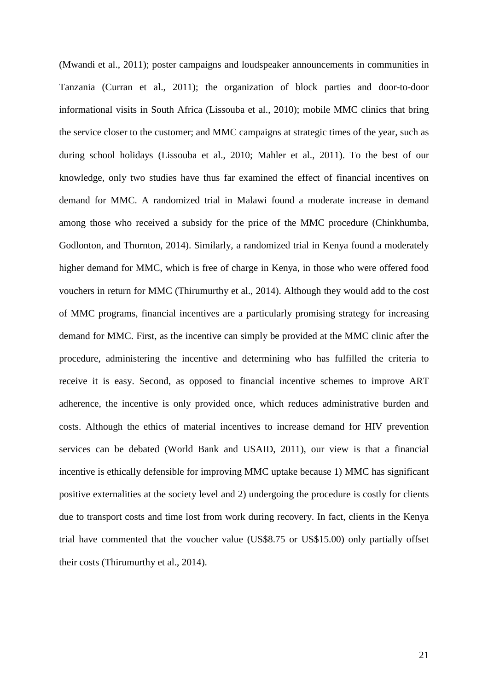(Mwandi et al., 2011); poster campaigns and loudspeaker announcements in communities in Tanzania (Curran et al., 2011); the organization of block parties and door-to-door informational visits in South Africa (Lissouba et al., 2010); mobile MMC clinics that bring the service closer to the customer; and MMC campaigns at strategic times of the year, such as during school holidays (Lissouba et al., 2010; Mahler et al., 2011). To the best of our knowledge, only two studies have thus far examined the effect of financial incentives on demand for MMC. A randomized trial in Malawi found a moderate increase in demand among those who received a subsidy for the price of the MMC procedure (Chinkhumba, Godlonton, and Thornton, 2014). Similarly, a randomized trial in Kenya found a moderately higher demand for MMC, which is free of charge in Kenya, in those who were offered food vouchers in return for MMC (Thirumurthy et al., 2014). Although they would add to the cost of MMC programs, financial incentives are a particularly promising strategy for increasing demand for MMC. First, as the incentive can simply be provided at the MMC clinic after the procedure, administering the incentive and determining who has fulfilled the criteria to receive it is easy. Second, as opposed to financial incentive schemes to improve ART adherence, the incentive is only provided once, which reduces administrative burden and costs. Although the ethics of material incentives to increase demand for HIV prevention services can be debated (World Bank and USAID, 2011), our view is that a financial incentive is ethically defensible for improving MMC uptake because 1) MMC has significant positive externalities at the society level and 2) undergoing the procedure is costly for clients due to transport costs and time lost from work during recovery. In fact, clients in the Kenya trial have commented that the voucher value (US\$8.75 or US\$15.00) only partially offset their costs (Thirumurthy et al., 2014).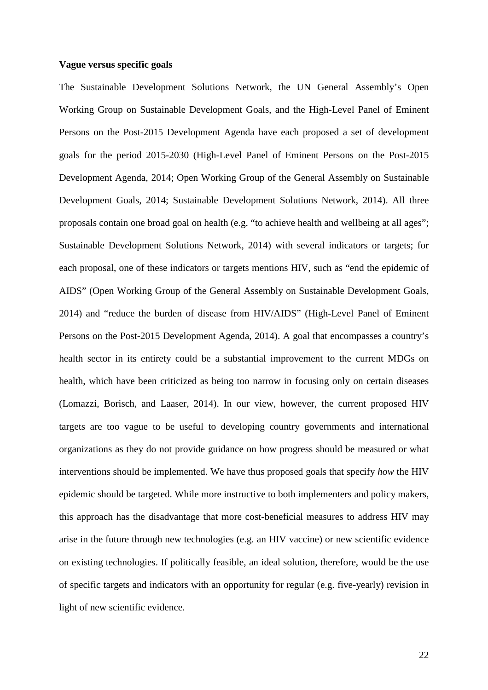#### **Vague versus specific goals**

The Sustainable Development Solutions Network, the UN General Assembly's Open Working Group on Sustainable Development Goals, and the High-Level Panel of Eminent Persons on the Post-2015 Development Agenda have each proposed a set of development goals for the period 2015-2030 (High-Level Panel of Eminent Persons on the Post-2015 Development Agenda, 2014; Open Working Group of the General Assembly on Sustainable Development Goals, 2014; Sustainable Development Solutions Network, 2014). All three proposals contain one broad goal on health (e.g. "to achieve health and wellbeing at all ages"; Sustainable Development Solutions Network, 2014) with several indicators or targets; for each proposal, one of these indicators or targets mentions HIV, such as "end the epidemic of AIDS" (Open Working Group of the General Assembly on Sustainable Development Goals, 2014) and "reduce the burden of disease from HIV/AIDS" (High-Level Panel of Eminent Persons on the Post-2015 Development Agenda, 2014). A goal that encompasses a country's health sector in its entirety could be a substantial improvement to the current MDGs on health, which have been criticized as being too narrow in focusing only on certain diseases (Lomazzi, Borisch, and Laaser, 2014). In our view, however, the current proposed HIV targets are too vague to be useful to developing country governments and international organizations as they do not provide guidance on how progress should be measured or what interventions should be implemented. We have thus proposed goals that specify *how* the HIV epidemic should be targeted. While more instructive to both implementers and policy makers, this approach has the disadvantage that more cost-beneficial measures to address HIV may arise in the future through new technologies (e.g. an HIV vaccine) or new scientific evidence on existing technologies. If politically feasible, an ideal solution, therefore, would be the use of specific targets and indicators with an opportunity for regular (e.g. five-yearly) revision in light of new scientific evidence.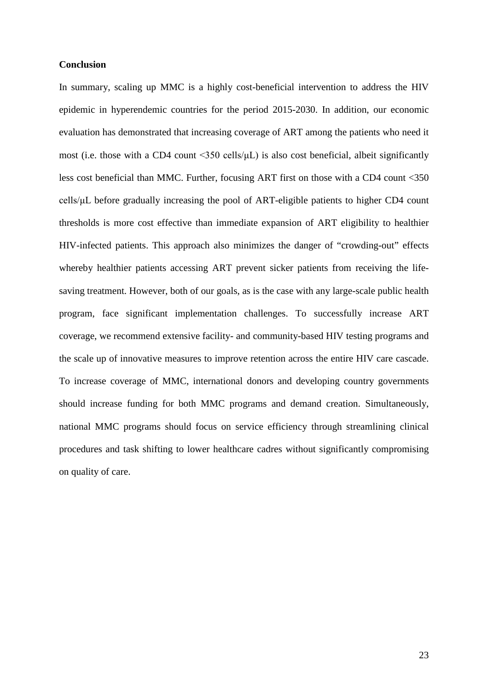### **Conclusion**

In summary, scaling up MMC is a highly cost-beneficial intervention to address the HIV epidemic in hyperendemic countries for the period 2015-2030. In addition, our economic evaluation has demonstrated that increasing coverage of ART among the patients who need it most (i.e. those with a CD4 count <350 cells/μL) is also cost beneficial, albeit significantly less cost beneficial than MMC. Further, focusing ART first on those with a CD4 count <350 cells/μL before gradually increasing the pool of ART-eligible patients to higher CD4 count thresholds is more cost effective than immediate expansion of ART eligibility to healthier HIV-infected patients. This approach also minimizes the danger of "crowding-out" effects whereby healthier patients accessing ART prevent sicker patients from receiving the lifesaving treatment. However, both of our goals, as is the case with any large-scale public health program, face significant implementation challenges. To successfully increase ART coverage, we recommend extensive facility- and community-based HIV testing programs and the scale up of innovative measures to improve retention across the entire HIV care cascade. To increase coverage of MMC, international donors and developing country governments should increase funding for both MMC programs and demand creation. Simultaneously, national MMC programs should focus on service efficiency through streamlining clinical procedures and task shifting to lower healthcare cadres without significantly compromising on quality of care.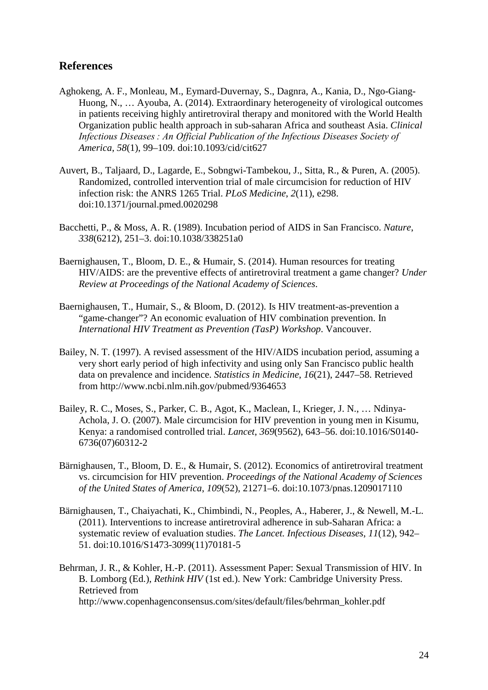# **References**

- Aghokeng, A. F., Monleau, M., Eymard-Duvernay, S., Dagnra, A., Kania, D., Ngo-Giang-Huong, N., … Ayouba, A. (2014). Extraordinary heterogeneity of virological outcomes in patients receiving highly antiretroviral therapy and monitored with the World Health Organization public health approach in sub-saharan Africa and southeast Asia. *Clinical Infectious Diseases : An Official Publication of the Infectious Diseases Society of America*, *58*(1), 99–109. doi:10.1093/cid/cit627
- Auvert, B., Taljaard, D., Lagarde, E., Sobngwi-Tambekou, J., Sitta, R., & Puren, A. (2005). Randomized, controlled intervention trial of male circumcision for reduction of HIV infection risk: the ANRS 1265 Trial. *PLoS Medicine*, *2*(11), e298. doi:10.1371/journal.pmed.0020298
- Bacchetti, P., & Moss, A. R. (1989). Incubation period of AIDS in San Francisco. *Nature*, *338*(6212), 251–3. doi:10.1038/338251a0
- Baernighausen, T., Bloom, D. E., & Humair, S. (2014). Human resources for treating HIV/AIDS: are the preventive effects of antiretroviral treatment a game changer? *Under Review at Proceedings of the National Academy of Sciences*.
- Baernighausen, T., Humair, S., & Bloom, D. (2012). Is HIV treatment-as-prevention a "game-changer"? An economic evaluation of HIV combination prevention. In *International HIV Treatment as Prevention (TasP) Workshop*. Vancouver.
- Bailey, N. T. (1997). A revised assessment of the HIV/AIDS incubation period, assuming a very short early period of high infectivity and using only San Francisco public health data on prevalence and incidence. *Statistics in Medicine*, *16*(21), 2447–58. Retrieved from http://www.ncbi.nlm.nih.gov/pubmed/9364653
- Bailey, R. C., Moses, S., Parker, C. B., Agot, K., Maclean, I., Krieger, J. N., … Ndinya-Achola, J. O. (2007). Male circumcision for HIV prevention in young men in Kisumu, Kenya: a randomised controlled trial. *Lancet*, *369*(9562), 643–56. doi:10.1016/S0140- 6736(07)60312-2
- Bärnighausen, T., Bloom, D. E., & Humair, S. (2012). Economics of antiretroviral treatment vs. circumcision for HIV prevention. *Proceedings of the National Academy of Sciences of the United States of America*, *109*(52), 21271–6. doi:10.1073/pnas.1209017110
- Bärnighausen, T., Chaiyachati, K., Chimbindi, N., Peoples, A., Haberer, J., & Newell, M.-L. (2011). Interventions to increase antiretroviral adherence in sub-Saharan Africa: a systematic review of evaluation studies. *The Lancet. Infectious Diseases*, *11*(12), 942– 51. doi:10.1016/S1473-3099(11)70181-5
- Behrman, J. R., & Kohler, H.-P. (2011). Assessment Paper: Sexual Transmission of HIV. In B. Lomborg (Ed.), *Rethink HIV* (1st ed.). New York: Cambridge University Press. Retrieved from http://www.copenhagenconsensus.com/sites/default/files/behrman\_kohler.pdf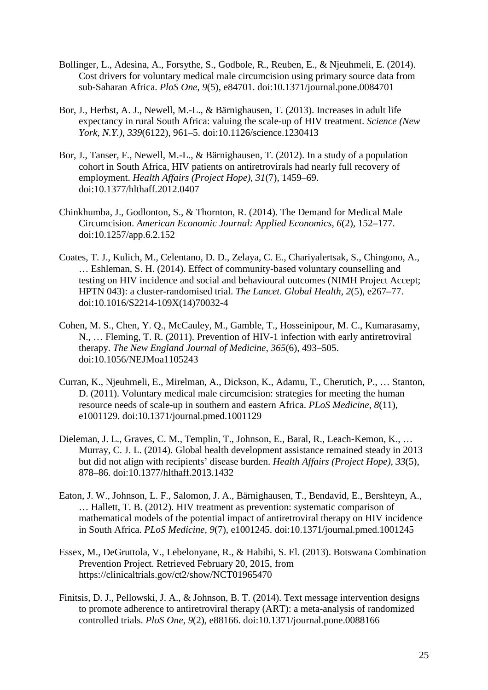- Bollinger, L., Adesina, A., Forsythe, S., Godbole, R., Reuben, E., & Njeuhmeli, E. (2014). Cost drivers for voluntary medical male circumcision using primary source data from sub-Saharan Africa. *PloS One*, *9*(5), e84701. doi:10.1371/journal.pone.0084701
- Bor, J., Herbst, A. J., Newell, M.-L., & Bärnighausen, T. (2013). Increases in adult life expectancy in rural South Africa: valuing the scale-up of HIV treatment. *Science (New York, N.Y.)*, *339*(6122), 961–5. doi:10.1126/science.1230413
- Bor, J., Tanser, F., Newell, M.-L., & Bärnighausen, T. (2012). In a study of a population cohort in South Africa, HIV patients on antiretrovirals had nearly full recovery of employment. *Health Affairs (Project Hope)*, *31*(7), 1459–69. doi:10.1377/hlthaff.2012.0407
- Chinkhumba, J., Godlonton, S., & Thornton, R. (2014). The Demand for Medical Male Circumcision. *American Economic Journal: Applied Economics*, *6*(2), 152–177. doi:10.1257/app.6.2.152
- Coates, T. J., Kulich, M., Celentano, D. D., Zelaya, C. E., Chariyalertsak, S., Chingono, A., … Eshleman, S. H. (2014). Effect of community-based voluntary counselling and testing on HIV incidence and social and behavioural outcomes (NIMH Project Accept; HPTN 043): a cluster-randomised trial. *The Lancet. Global Health*, *2*(5), e267–77. doi:10.1016/S2214-109X(14)70032-4
- Cohen, M. S., Chen, Y. Q., McCauley, M., Gamble, T., Hosseinipour, M. C., Kumarasamy, N., … Fleming, T. R. (2011). Prevention of HIV-1 infection with early antiretroviral therapy. *The New England Journal of Medicine*, *365*(6), 493–505. doi:10.1056/NEJMoa1105243
- Curran, K., Njeuhmeli, E., Mirelman, A., Dickson, K., Adamu, T., Cherutich, P., … Stanton, D. (2011). Voluntary medical male circumcision: strategies for meeting the human resource needs of scale-up in southern and eastern Africa. *PLoS Medicine*, *8*(11), e1001129. doi:10.1371/journal.pmed.1001129
- Dieleman, J. L., Graves, C. M., Templin, T., Johnson, E., Baral, R., Leach-Kemon, K., … Murray, C. J. L. (2014). Global health development assistance remained steady in 2013 but did not align with recipients' disease burden. *Health Affairs (Project Hope)*, *33*(5), 878–86. doi:10.1377/hlthaff.2013.1432
- Eaton, J. W., Johnson, L. F., Salomon, J. A., Bärnighausen, T., Bendavid, E., Bershteyn, A., … Hallett, T. B. (2012). HIV treatment as prevention: systematic comparison of mathematical models of the potential impact of antiretroviral therapy on HIV incidence in South Africa. *PLoS Medicine*, *9*(7), e1001245. doi:10.1371/journal.pmed.1001245
- Essex, M., DeGruttola, V., Lebelonyane, R., & Habibi, S. El. (2013). Botswana Combination Prevention Project. Retrieved February 20, 2015, from https://clinicaltrials.gov/ct2/show/NCT01965470
- Finitsis, D. J., Pellowski, J. A., & Johnson, B. T. (2014). Text message intervention designs to promote adherence to antiretroviral therapy (ART): a meta-analysis of randomized controlled trials. *PloS One*, *9*(2), e88166. doi:10.1371/journal.pone.0088166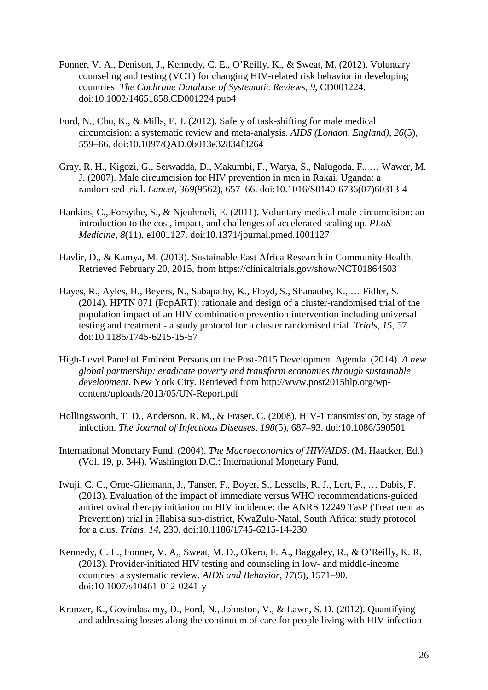- Fonner, V. A., Denison, J., Kennedy, C. E., O'Reilly, K., & Sweat, M. (2012). Voluntary counseling and testing (VCT) for changing HIV-related risk behavior in developing countries. *The Cochrane Database of Systematic Reviews*, *9*, CD001224. doi:10.1002/14651858.CD001224.pub4
- Ford, N., Chu, K., & Mills, E. J. (2012). Safety of task-shifting for male medical circumcision: a systematic review and meta-analysis. *AIDS (London, England)*, *26*(5), 559–66. doi:10.1097/QAD.0b013e32834f3264
- Gray, R. H., Kigozi, G., Serwadda, D., Makumbi, F., Watya, S., Nalugoda, F., … Wawer, M. J. (2007). Male circumcision for HIV prevention in men in Rakai, Uganda: a randomised trial. *Lancet*, *369*(9562), 657–66. doi:10.1016/S0140-6736(07)60313-4
- Hankins, C., Forsythe, S., & Njeuhmeli, E. (2011). Voluntary medical male circumcision: an introduction to the cost, impact, and challenges of accelerated scaling up. *PLoS Medicine*, *8*(11), e1001127. doi:10.1371/journal.pmed.1001127
- Havlir, D., & Kamya, M. (2013). Sustainable East Africa Research in Community Health. Retrieved February 20, 2015, from https://clinicaltrials.gov/show/NCT01864603
- Hayes, R., Ayles, H., Beyers, N., Sabapathy, K., Floyd, S., Shanaube, K., … Fidler, S. (2014). HPTN 071 (PopART): rationale and design of a cluster-randomised trial of the population impact of an HIV combination prevention intervention including universal testing and treatment - a study protocol for a cluster randomised trial. *Trials*, *15*, 57. doi:10.1186/1745-6215-15-57
- High-Level Panel of Eminent Persons on the Post-2015 Development Agenda. (2014). *A new global partnership: eradicate poverty and transform economies through sustainable development*. New York City. Retrieved from http://www.post2015hlp.org/wpcontent/uploads/2013/05/UN-Report.pdf
- Hollingsworth, T. D., Anderson, R. M., & Fraser, C. (2008). HIV-1 transmission, by stage of infection. *The Journal of Infectious Diseases*, *198*(5), 687–93. doi:10.1086/590501
- International Monetary Fund. (2004). *The Macroeconomics of HIV/AIDS*. (M. Haacker, Ed.) (Vol. 19, p. 344). Washington D.C.: International Monetary Fund.
- Iwuji, C. C., Orne-Gliemann, J., Tanser, F., Boyer, S., Lessells, R. J., Lert, F., … Dabis, F. (2013). Evaluation of the impact of immediate versus WHO recommendations-guided antiretroviral therapy initiation on HIV incidence: the ANRS 12249 TasP (Treatment as Prevention) trial in Hlabisa sub-district, KwaZulu-Natal, South Africa: study protocol for a clus. *Trials*, *14*, 230. doi:10.1186/1745-6215-14-230
- Kennedy, C. E., Fonner, V. A., Sweat, M. D., Okero, F. A., Baggaley, R., & O'Reilly, K. R. (2013). Provider-initiated HIV testing and counseling in low- and middle-income countries: a systematic review. *AIDS and Behavior*, *17*(5), 1571–90. doi:10.1007/s10461-012-0241-y
- Kranzer, K., Govindasamy, D., Ford, N., Johnston, V., & Lawn, S. D. (2012). Quantifying and addressing losses along the continuum of care for people living with HIV infection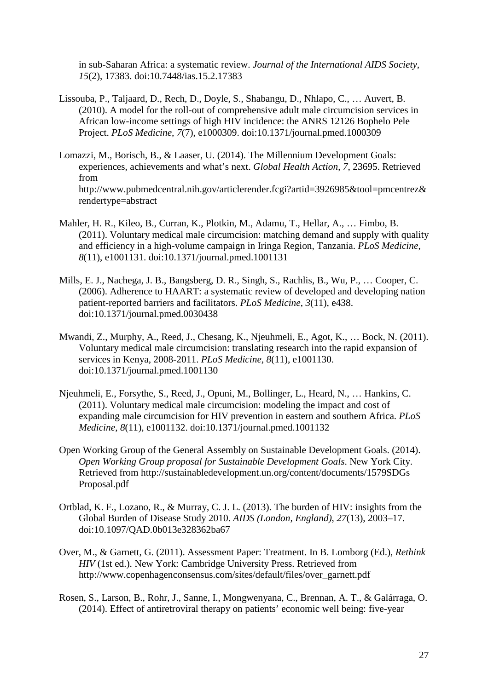in sub-Saharan Africa: a systematic review. *Journal of the International AIDS Society*, *15*(2), 17383. doi:10.7448/ias.15.2.17383

- Lissouba, P., Taljaard, D., Rech, D., Doyle, S., Shabangu, D., Nhlapo, C., … Auvert, B. (2010). A model for the roll-out of comprehensive adult male circumcision services in African low-income settings of high HIV incidence: the ANRS 12126 Bophelo Pele Project. *PLoS Medicine*, *7*(7), e1000309. doi:10.1371/journal.pmed.1000309
- Lomazzi, M., Borisch, B., & Laaser, U. (2014). The Millennium Development Goals: experiences, achievements and what's next. *Global Health Action*, *7*, 23695. Retrieved from http://www.pubmedcentral.nih.gov/articlerender.fcgi?artid=3926985&tool=pmcentrez& rendertype=abstract
- Mahler, H. R., Kileo, B., Curran, K., Plotkin, M., Adamu, T., Hellar, A., … Fimbo, B. (2011). Voluntary medical male circumcision: matching demand and supply with quality and efficiency in a high-volume campaign in Iringa Region, Tanzania. *PLoS Medicine*, *8*(11), e1001131. doi:10.1371/journal.pmed.1001131
- Mills, E. J., Nachega, J. B., Bangsberg, D. R., Singh, S., Rachlis, B., Wu, P., … Cooper, C. (2006). Adherence to HAART: a systematic review of developed and developing nation patient-reported barriers and facilitators. *PLoS Medicine*, *3*(11), e438. doi:10.1371/journal.pmed.0030438
- Mwandi, Z., Murphy, A., Reed, J., Chesang, K., Njeuhmeli, E., Agot, K., … Bock, N. (2011). Voluntary medical male circumcision: translating research into the rapid expansion of services in Kenya, 2008-2011. *PLoS Medicine*, *8*(11), e1001130. doi:10.1371/journal.pmed.1001130
- Njeuhmeli, E., Forsythe, S., Reed, J., Opuni, M., Bollinger, L., Heard, N., … Hankins, C. (2011). Voluntary medical male circumcision: modeling the impact and cost of expanding male circumcision for HIV prevention in eastern and southern Africa. *PLoS Medicine*, *8*(11), e1001132. doi:10.1371/journal.pmed.1001132
- Open Working Group of the General Assembly on Sustainable Development Goals. (2014). *Open Working Group proposal for Sustainable Development Goals*. New York City. Retrieved from http://sustainabledevelopment.un.org/content/documents/1579SDGs Proposal.pdf
- Ortblad, K. F., Lozano, R., & Murray, C. J. L. (2013). The burden of HIV: insights from the Global Burden of Disease Study 2010. *AIDS (London, England)*, *27*(13), 2003–17. doi:10.1097/QAD.0b013e328362ba67
- Over, M., & Garnett, G. (2011). Assessment Paper: Treatment. In B. Lomborg (Ed.), *Rethink HIV* (1st ed.). New York: Cambridge University Press. Retrieved from http://www.copenhagenconsensus.com/sites/default/files/over\_garnett.pdf
- Rosen, S., Larson, B., Rohr, J., Sanne, I., Mongwenyana, C., Brennan, A. T., & Galárraga, O. (2014). Effect of antiretroviral therapy on patients' economic well being: five-year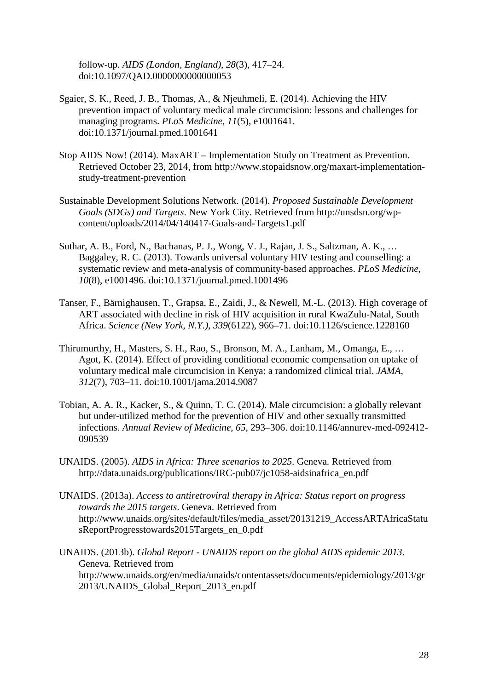follow-up. *AIDS (London, England)*, *28*(3), 417–24. doi:10.1097/QAD.0000000000000053

- Sgaier, S. K., Reed, J. B., Thomas, A., & Njeuhmeli, E. (2014). Achieving the HIV prevention impact of voluntary medical male circumcision: lessons and challenges for managing programs. *PLoS Medicine*, *11*(5), e1001641. doi:10.1371/journal.pmed.1001641
- Stop AIDS Now! (2014). MaxART Implementation Study on Treatment as Prevention. Retrieved October 23, 2014, from http://www.stopaidsnow.org/maxart-implementationstudy-treatment-prevention
- Sustainable Development Solutions Network. (2014). *Proposed Sustainable Development Goals (SDGs) and Targets*. New York City. Retrieved from http://unsdsn.org/wpcontent/uploads/2014/04/140417-Goals-and-Targets1.pdf
- Suthar, A. B., Ford, N., Bachanas, P. J., Wong, V. J., Rajan, J. S., Saltzman, A. K., … Baggaley, R. C. (2013). Towards universal voluntary HIV testing and counselling: a systematic review and meta-analysis of community-based approaches. *PLoS Medicine*, *10*(8), e1001496. doi:10.1371/journal.pmed.1001496
- Tanser, F., Bärnighausen, T., Grapsa, E., Zaidi, J., & Newell, M.-L. (2013). High coverage of ART associated with decline in risk of HIV acquisition in rural KwaZulu-Natal, South Africa. *Science (New York, N.Y.)*, *339*(6122), 966–71. doi:10.1126/science.1228160
- Thirumurthy, H., Masters, S. H., Rao, S., Bronson, M. A., Lanham, M., Omanga, E., … Agot, K. (2014). Effect of providing conditional economic compensation on uptake of voluntary medical male circumcision in Kenya: a randomized clinical trial. *JAMA*, *312*(7), 703–11. doi:10.1001/jama.2014.9087
- Tobian, A. A. R., Kacker, S., & Quinn, T. C. (2014). Male circumcision: a globally relevant but under-utilized method for the prevention of HIV and other sexually transmitted infections. *Annual Review of Medicine*, *65*, 293–306. doi:10.1146/annurev-med-092412- 090539
- UNAIDS. (2005). *AIDS in Africa: Three scenarios to 2025*. Geneva. Retrieved from http://data.unaids.org/publications/IRC-pub07/jc1058-aidsinafrica\_en.pdf
- UNAIDS. (2013a). *Access to antiretroviral therapy in Africa: Status report on progress towards the 2015 targets*. Geneva. Retrieved from http://www.unaids.org/sites/default/files/media\_asset/20131219\_AccessARTAfricaStatu sReportProgresstowards2015Targets\_en\_0.pdf
- UNAIDS. (2013b). *Global Report - UNAIDS report on the global AIDS epidemic 2013*. Geneva. Retrieved from http://www.unaids.org/en/media/unaids/contentassets/documents/epidemiology/2013/gr 2013/UNAIDS\_Global\_Report\_2013\_en.pdf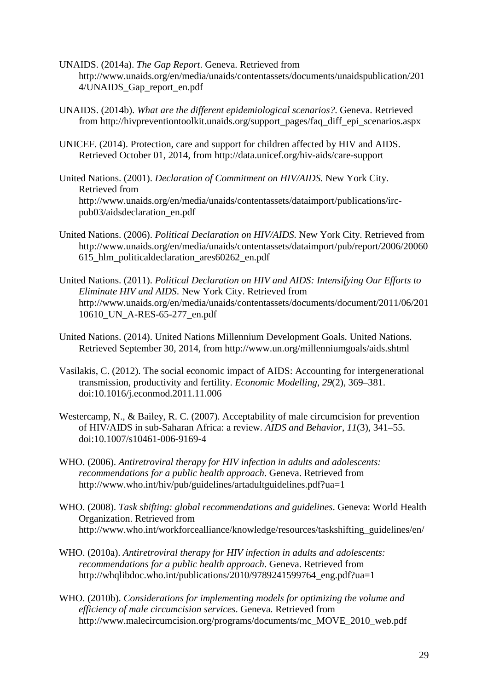UNAIDS. (2014a). *The Gap Report*. Geneva. Retrieved from http://www.unaids.org/en/media/unaids/contentassets/documents/unaidspublication/201 4/UNAIDS\_Gap\_report\_en.pdf

- UNAIDS. (2014b). *What are the different epidemiological scenarios?*. Geneva. Retrieved from http://hivpreventiontoolkit.unaids.org/support\_pages/faq\_diff\_epi\_scenarios.aspx
- UNICEF. (2014). Protection, care and support for children affected by HIV and AIDS. Retrieved October 01, 2014, from http://data.unicef.org/hiv-aids/care-support
- United Nations. (2001). *Declaration of Commitment on HIV/AIDS*. New York City. Retrieved from http://www.unaids.org/en/media/unaids/contentassets/dataimport/publications/ircpub03/aidsdeclaration\_en.pdf
- United Nations. (2006). *Political Declaration on HIV/AIDS*. New York City. Retrieved from http://www.unaids.org/en/media/unaids/contentassets/dataimport/pub/report/2006/20060 615\_hlm\_politicaldeclaration\_ares60262\_en.pdf
- United Nations. (2011). *Political Declaration on HIV and AIDS: Intensifying Our Efforts to Eliminate HIV and AIDS*. New York City. Retrieved from http://www.unaids.org/en/media/unaids/contentassets/documents/document/2011/06/201 10610\_UN\_A-RES-65-277\_en.pdf
- United Nations. (2014). United Nations Millennium Development Goals. United Nations. Retrieved September 30, 2014, from http://www.un.org/millenniumgoals/aids.shtml
- Vasilakis, C. (2012). The social economic impact of AIDS: Accounting for intergenerational transmission, productivity and fertility. *Economic Modelling*, *29*(2), 369–381. doi:10.1016/j.econmod.2011.11.006
- Westercamp, N., & Bailey, R. C. (2007). Acceptability of male circumcision for prevention of HIV/AIDS in sub-Saharan Africa: a review. *AIDS and Behavior*, *11*(3), 341–55. doi:10.1007/s10461-006-9169-4
- WHO. (2006). *Antiretroviral therapy for HIV infection in adults and adolescents: recommendations for a public health approach*. Geneva. Retrieved from http://www.who.int/hiv/pub/guidelines/artadultguidelines.pdf?ua=1
- WHO. (2008). *Task shifting: global recommendations and guidelines*. Geneva: World Health Organization. Retrieved from http://www.who.int/workforcealliance/knowledge/resources/taskshifting\_guidelines/en/
- WHO. (2010a). *Antiretroviral therapy for HIV infection in adults and adolescents: recommendations for a public health approach*. Geneva. Retrieved from http://whqlibdoc.who.int/publications/2010/9789241599764\_eng.pdf?ua=1
- WHO. (2010b). *Considerations for implementing models for optimizing the volume and efficiency of male circumcision services*. Geneva. Retrieved from http://www.malecircumcision.org/programs/documents/mc\_MOVE\_2010\_web.pdf